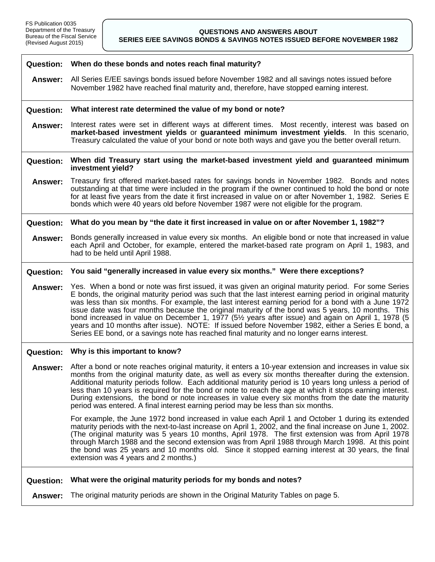|                  | Question: When do these bonds and notes reach final maturity?                                                                                                                                                                                                                                                                                                                                                                                                                                                                                                                                                                                                                                                                          |  |
|------------------|----------------------------------------------------------------------------------------------------------------------------------------------------------------------------------------------------------------------------------------------------------------------------------------------------------------------------------------------------------------------------------------------------------------------------------------------------------------------------------------------------------------------------------------------------------------------------------------------------------------------------------------------------------------------------------------------------------------------------------------|--|
| <b>Answer:</b>   | All Series E/EE savings bonds issued before November 1982 and all savings notes issued before<br>November 1982 have reached final maturity and, therefore, have stopped earning interest.                                                                                                                                                                                                                                                                                                                                                                                                                                                                                                                                              |  |
| <b>Question:</b> | What interest rate determined the value of my bond or note?                                                                                                                                                                                                                                                                                                                                                                                                                                                                                                                                                                                                                                                                            |  |
| Answer:          | Interest rates were set in different ways at different times. Most recently, interest was based on<br>market-based investment yields or guaranteed minimum investment yields. In this scenario,<br>Treasury calculated the value of your bond or note both ways and gave you the better overall return.                                                                                                                                                                                                                                                                                                                                                                                                                                |  |
| <b>Question:</b> | When did Treasury start using the market-based investment yield and guaranteed minimum<br>investment yield?                                                                                                                                                                                                                                                                                                                                                                                                                                                                                                                                                                                                                            |  |
| Answer:          | Treasury first offered market-based rates for savings bonds in November 1982. Bonds and notes<br>outstanding at that time were included in the program if the owner continued to hold the bond or note<br>for at least five years from the date it first increased in value on or after November 1, 1982. Series E<br>bonds which were 40 years old before November 1987 were not eligible for the program.                                                                                                                                                                                                                                                                                                                            |  |
| <b>Question:</b> | What do you mean by "the date it first increased in value on or after November 1, 1982"?                                                                                                                                                                                                                                                                                                                                                                                                                                                                                                                                                                                                                                               |  |
| Answer:          | Bonds generally increased in value every six months. An eligible bond or note that increased in value<br>each April and October, for example, entered the market-based rate program on April 1, 1983, and<br>had to be held until April 1988.                                                                                                                                                                                                                                                                                                                                                                                                                                                                                          |  |
| <b>Question:</b> | You said "generally increased in value every six months." Were there exceptions?                                                                                                                                                                                                                                                                                                                                                                                                                                                                                                                                                                                                                                                       |  |
| Answer:          | Yes. When a bond or note was first issued, it was given an original maturity period. For some Series<br>E bonds, the original maturity period was such that the last interest earning period in original maturity<br>was less than six months. For example, the last interest earning period for a bond with a June 1972<br>issue date was four months because the original maturity of the bond was 5 years, 10 months. This<br>bond increased in value on December 1, 1977 (51/2 years after issue) and again on April 1, 1978 (5<br>years and 10 months after issue). NOTE: If issued before November 1982, either a Series E bond, a<br>Series EE bond, or a savings note has reached final maturity and no longer earns interest. |  |
| <b>Question:</b> | Why is this important to know?                                                                                                                                                                                                                                                                                                                                                                                                                                                                                                                                                                                                                                                                                                         |  |
| Answer:          | After a bond or note reaches original maturity, it enters a 10-year extension and increases in value six<br>months from the original maturity date, as well as every six months thereafter during the extension.<br>Additional maturity periods follow. Each additional maturity period is 10 years long unless a period of<br>less than 10 years is required for the bond or note to reach the age at which it stops earning interest.<br>During extensions, the bond or note increases in value every six months from the date the maturity<br>period was entered. A final interest earning period may be less than six months.                                                                                                      |  |
|                  | For example, the June 1972 bond increased in value each April 1 and October 1 during its extended<br>maturity periods with the next-to-last increase on April 1, 2002, and the final increase on June 1, 2002.<br>(The original maturity was 5 years 10 months, April 1978. The first extension was from April 1978<br>through March 1988 and the second extension was from April 1988 through March 1998. At this point<br>the bond was 25 years and 10 months old. Since it stopped earning interest at 30 years, the final<br>extension was 4 years and 2 months.)                                                                                                                                                                  |  |
| <b>Question:</b> | What were the original maturity periods for my bonds and notes?                                                                                                                                                                                                                                                                                                                                                                                                                                                                                                                                                                                                                                                                        |  |
| Answer:          | The original maturity periods are shown in the Original Maturity Tables on page 5.                                                                                                                                                                                                                                                                                                                                                                                                                                                                                                                                                                                                                                                     |  |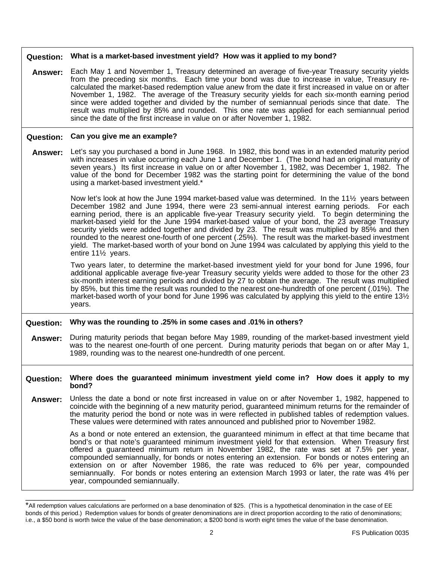| <b>Question:</b> | What is a market-based investment yield? How was it applied to my bond?                                                                                                                                                                                                                                                                                                                                                                                                                                                                                                                                                                                                                                                                                    |  |
|------------------|------------------------------------------------------------------------------------------------------------------------------------------------------------------------------------------------------------------------------------------------------------------------------------------------------------------------------------------------------------------------------------------------------------------------------------------------------------------------------------------------------------------------------------------------------------------------------------------------------------------------------------------------------------------------------------------------------------------------------------------------------------|--|
| Answer:          | Each May 1 and November 1, Treasury determined an average of five-year Treasury security yields<br>from the preceding six months. Each time your bond was due to increase in value, Treasury re-<br>calculated the market-based redemption value anew from the date it first increased in value on or after<br>November 1, 1982. The average of the Treasury security yields for each six-month earning period<br>since were added together and divided by the number of semiannual periods since that date. The<br>result was multiplied by 85% and rounded. This one rate was applied for each semiannual period<br>since the date of the first increase in value on or after November 1, 1982.                                                          |  |
| <b>Question:</b> | Can you give me an example?                                                                                                                                                                                                                                                                                                                                                                                                                                                                                                                                                                                                                                                                                                                                |  |
| Answer:          | Let's say you purchased a bond in June 1968. In 1982, this bond was in an extended maturity period<br>with increases in value occurring each June 1 and December 1. (The bond had an original maturity of<br>seven years.) Its first increase in value on or after November 1, 1982, was December 1, 1982. The<br>value of the bond for December 1982 was the starting point for determining the value of the bond<br>using a market-based investment yield.*                                                                                                                                                                                                                                                                                              |  |
|                  | Now let's look at how the June 1994 market-based value was determined. In the 11 $\frac{1}{2}$ years between<br>December 1982 and June 1994, there were 23 semi-annual interest earning periods. For each<br>earning period, there is an applicable five-year Treasury security yield. To begin determining the<br>market-based yield for the June 1994 market-based value of your bond, the 23 average Treasury<br>security yields were added together and divided by 23. The result was multiplied by 85% and then<br>rounded to the nearest one-fourth of one percent (.25%). The result was the market-based investment<br>yield. The market-based worth of your bond on June 1994 was calculated by applying this yield to the<br>entire 111/2 years. |  |
|                  | Two years later, to determine the market-based investment yield for your bond for June 1996, four<br>additional applicable average five-year Treasury security yields were added to those for the other 23<br>six-month interest earning periods and divided by 27 to obtain the average. The result was multiplied<br>by 85%, but this time the result was rounded to the nearest one-hundredth of one percent (.01%). The<br>market-based worth of your bond for June 1996 was calculated by applying this yield to the entire 131/2<br>years.                                                                                                                                                                                                           |  |
| <b>Question:</b> | Why was the rounding to .25% in some cases and .01% in others?                                                                                                                                                                                                                                                                                                                                                                                                                                                                                                                                                                                                                                                                                             |  |
| Answer:          | During maturity periods that began before May 1989, rounding of the market-based investment yield<br>was to the nearest one-fourth of one percent. During maturity periods that began on or after May 1,<br>1989, rounding was to the nearest one-hundredth of one percent.                                                                                                                                                                                                                                                                                                                                                                                                                                                                                |  |
| <b>Question:</b> | Where does the guaranteed minimum investment yield come in? How does it apply to my<br>bond?                                                                                                                                                                                                                                                                                                                                                                                                                                                                                                                                                                                                                                                               |  |
| Answer:          | Unless the date a bond or note first increased in value on or after November 1, 1982, happened to<br>coincide with the beginning of a new maturity period, guaranteed minimum returns for the remainder of<br>the maturity period the bond or note was in were reflected in published tables of redemption values.<br>These values were determined with rates announced and published prior to November 1982.                                                                                                                                                                                                                                                                                                                                              |  |
|                  | As a bond or note entered an extension, the guaranteed minimum in effect at that time became that<br>bond's or that note's guaranteed minimum investment yield for that extension. When Treasury first<br>offered a guaranteed minimum return in November 1982, the rate was set at 7.5% per year,<br>compounded semiannually, for bonds or notes entering an extension. For bonds or notes entering an<br>extension on or after November 1986, the rate was reduced to 6% per year, compounded<br>semiannually. For bonds or notes entering an extension March 1993 or later, the rate was 4% per<br>year, compounded semiannually.                                                                                                                       |  |

<sup>\*</sup>All redemption values calculations are performed on a base denomination of \$25. (This is a hypothetical denomination in the case of EE bonds of this period.) Redemption values for bonds of greater denominations are in direct proportion according to the ratio of denominations; i.e., a \$50 bond is worth twice the value of the base denomination; a \$200 bond is worth eight times the value of the base denomination.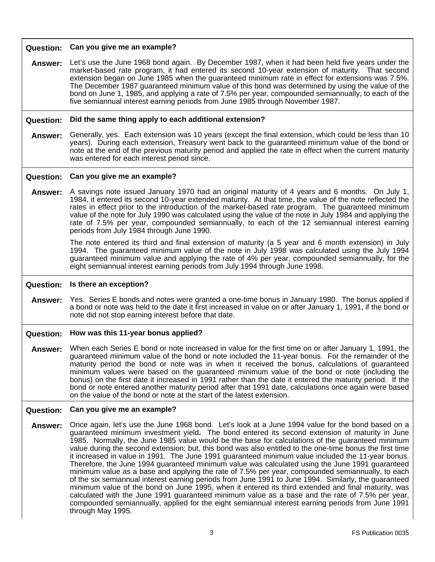| <b>Question:</b> | Can you give me an example?                                                                                                                                                                                                                                                                                                                                                                                                                                                                                                                                                                                                                                                                                                                                                                                                                                                                                                                                                                                                                                                                                                                            |
|------------------|--------------------------------------------------------------------------------------------------------------------------------------------------------------------------------------------------------------------------------------------------------------------------------------------------------------------------------------------------------------------------------------------------------------------------------------------------------------------------------------------------------------------------------------------------------------------------------------------------------------------------------------------------------------------------------------------------------------------------------------------------------------------------------------------------------------------------------------------------------------------------------------------------------------------------------------------------------------------------------------------------------------------------------------------------------------------------------------------------------------------------------------------------------|
| <b>Answer:</b>   | Let's use the June 1968 bond again. By December 1987, when it had been held five years under the<br>market-based rate program, it had entered its second 10-year extension of maturity. That second<br>extension began on June 1985 when the guaranteed minimum rate in effect for extensions was 7.5%.<br>The December 1987 guaranteed minimum value of this bond was determined by using the value of the<br>bond on June 1, 1985, and applying a rate of 7.5% per year, compounded semiannually, to each of the<br>five semiannual interest earning periods from June 1985 through November 1987.                                                                                                                                                                                                                                                                                                                                                                                                                                                                                                                                                   |
| <b>Question:</b> | Did the same thing apply to each additional extension?                                                                                                                                                                                                                                                                                                                                                                                                                                                                                                                                                                                                                                                                                                                                                                                                                                                                                                                                                                                                                                                                                                 |
| <b>Answer:</b>   | Generally, yes. Each extension was 10 years (except the final extension, which could be less than 10<br>years). During each extension, Treasury went back to the guaranteed minimum value of the bond or<br>note at the end of the previous maturity period and applied the rate in effect when the current maturity<br>was entered for each interest period since.                                                                                                                                                                                                                                                                                                                                                                                                                                                                                                                                                                                                                                                                                                                                                                                    |
| <b>Question:</b> | Can you give me an example?                                                                                                                                                                                                                                                                                                                                                                                                                                                                                                                                                                                                                                                                                                                                                                                                                                                                                                                                                                                                                                                                                                                            |
| <b>Answer:</b>   | A savings note issued January 1970 had an original maturity of 4 years and 6 months. On July 1,<br>1984, it entered its second 10-year extended maturity. At that time, the value of the note reflected the<br>rates in effect prior to the introduction of the market-based rate program. The guaranteed minimum<br>value of the note for July 1990 was calculated using the value of the note in July 1984 and applying the<br>rate of 7.5% per year, compounded semiannually, to each of the 12 semiannual interest earning<br>periods from July 1984 through June 1990.                                                                                                                                                                                                                                                                                                                                                                                                                                                                                                                                                                            |
|                  | The note entered its third and final extension of maturity (a 5 year and 6 month extension) in July<br>1994. The guaranteed minimum value of the note in July 1998 was calculated using the July 1994<br>guaranteed minimum value and applying the rate of 4% per year, compounded semiannually, for the<br>eight semiannual interest earning periods from July 1994 through June 1998.                                                                                                                                                                                                                                                                                                                                                                                                                                                                                                                                                                                                                                                                                                                                                                |
| <b>Question:</b> | Is there an exception?                                                                                                                                                                                                                                                                                                                                                                                                                                                                                                                                                                                                                                                                                                                                                                                                                                                                                                                                                                                                                                                                                                                                 |
| <b>Answer:</b>   | Yes. Series E bonds and notes were granted a one-time bonus in January 1980. The bonus applied if<br>a bond or note was held to the date it first increased in value on or after January 1, 1991, if the bond or<br>note did not stop earning interest before that date.                                                                                                                                                                                                                                                                                                                                                                                                                                                                                                                                                                                                                                                                                                                                                                                                                                                                               |
| <b>Question:</b> | How was this 11-year bonus applied?                                                                                                                                                                                                                                                                                                                                                                                                                                                                                                                                                                                                                                                                                                                                                                                                                                                                                                                                                                                                                                                                                                                    |
| Answer:          | When each Series E bond or note increased in value for the first time on or after January 1, 1991, the<br>guaranteed minimum value of the bond or note included the 11-year bonus. For the remainder of the<br>maturity period the bond or note was in when it received the bonus, calculations of guaranteed<br>minimum values were based on the guaranteed minimum value of the bond or note (including the<br>bonus) on the first date it increased in 1991 rather than the date it entered the maturity period. If the<br>bond or note entered another maturity period after that 1991 date, calculations once again were based<br>on the value of the bond or note at the start of the latest extension.                                                                                                                                                                                                                                                                                                                                                                                                                                          |
| <b>Question:</b> | Can you give me an example?                                                                                                                                                                                                                                                                                                                                                                                                                                                                                                                                                                                                                                                                                                                                                                                                                                                                                                                                                                                                                                                                                                                            |
| <b>Answer:</b>   | Once again, let's use the June 1968 bond. Let's look at a June 1994 value for the bond based on a<br>guaranteed minimum investment yield. The bond entered its second extension of maturity in June<br>1985. Normally, the June 1985 value would be the base for calculations of the guaranteed minimum<br>value during the second extension; but, this bond was also entitled to the one-time bonus the first time<br>it increased in value in 1991. The June 1991 guaranteed minimum value included the 11-year bonus.<br>Therefore, the June 1994 guaranteed minimum value was calculated using the June 1991 guaranteed<br>minimum value as a base and applying the rate of 7.5% per year, compounded semiannually, to each<br>of the six semiannual interest earning periods from June 1991 to June 1994. Similarly, the guaranteed<br>minimum value of the bond on June 1995, when it entered its third extended and final maturity, was<br>calculated with the June 1991 guaranteed minimum value as a base and the rate of 7.5% per year,<br>compounded semiannually, applied for the eight semiannual interest earning periods from June 1991 |

through May 1995.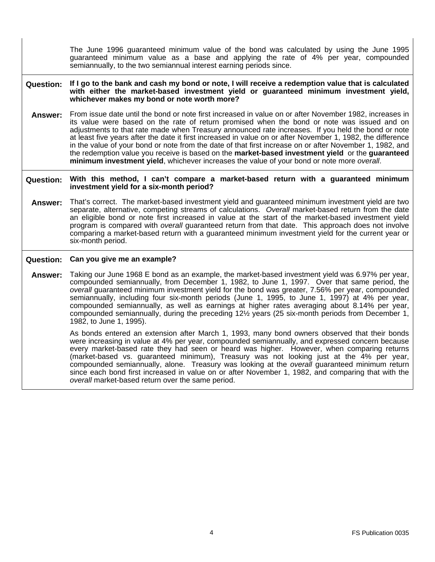The June 1996 guaranteed minimum value of the bond was calculated by using the June 1995 guaranteed minimum value as a base and applying the rate of 4% per year, compounded semiannually, to the two semiannual interest earning periods since.

**Question: If I go to the bank and cash my bond or note, I will receive a redemption value that is calculated with either the market-based investment yield or guaranteed minimum investment yield, whichever makes my bond or note worth more?** 

**Answer:** From issue date until the bond or note first increased in value on or after November 1982, increases in its value were based on the rate of return promised when the bond or note was issued and on adjustments to that rate made when Treasury announced rate increases. If you held the bond or note at least five years after the date it first increased in value on or after November 1, 1982, the difference in the value of your bond or note from the date of that first increase on or after November 1, 1982, and the redemption value you receive is based on the **market-based investment yield** or the **guaranteed minimum investment yield**, whichever increases the value of your bond or note more *overall*.

**Question: With this method, I can't compare a market-based return with a guaranteed minimum investment yield for a six-month period?** 

**Answer:** That's correct. The market-based investment yield and guaranteed minimum investment yield are two separate, alternative, competing streams of calculations. *Overall* market-based return from the date an eligible bond or note first increased in value at the start of the market-based investment yield program is compared with *overall* guaranteed return from that date. This approach does not involve comparing a market-based return with a guaranteed minimum investment yield for the current year or six-month period.

#### **Question: Can you give me an example?**

**Answer:** Taking our June 1968 E bond as an example, the market-based investment yield was 6.97% per year, compounded semiannually, from December 1, 1982, to June 1, 1997. Over that same period, the *overall* guaranteed minimum investment yield for the bond was greater, 7.56% per year, compounded semiannually, including four six-month periods (June 1, 1995, to June 1, 1997) at 4% per year, compounded semiannually, as well as earnings at higher rates averaging about 8.14% per year, compounded semiannually, during the preceding 12½ years (25 six-month periods from December 1, 1982, to June 1, 1995).

> As bonds entered an extension after March 1, 1993, many bond owners observed that their bonds were increasing in value at 4% per year, compounded semiannually, and expressed concern because every market-based rate they had seen or heard was higher. However, when comparing returns (market-based vs. guaranteed minimum), Treasury was not looking just at the 4% per year, compounded semiannually, alone. Treasury was looking at the *overall* guaranteed minimum return since each bond first increased in value on or after November 1, 1982, and comparing that with the *overall* market-based return over the same period.